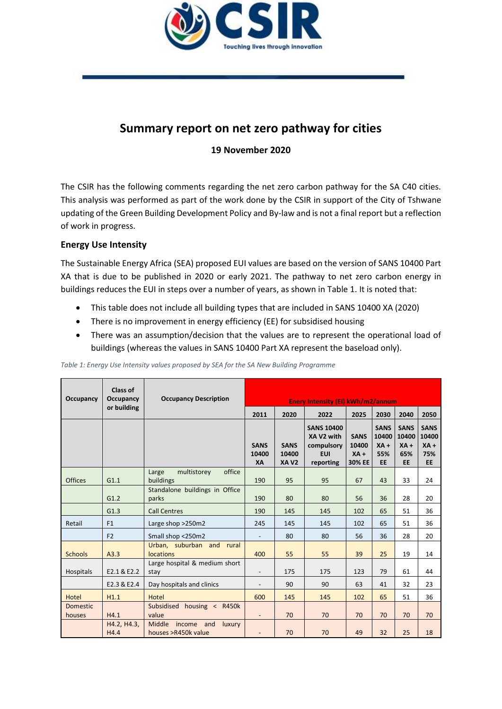

# **Summary report on net zero pathway for cities**

**19 November 2020**

The CSIR has the following comments regarding the net zero carbon pathway for the SA C40 cities. This analysis was performed as part of the work done by the CSIR in support of the City of Tshwane updating of the Green Building Development Policy and By-law and is not a final report but a reflection of work in progress.

## **Energy Use Intensity**

The Sustainable Energy Africa (SEA) proposed EUI values are based on the version of SANS 10400 Part XA that is due to be published in 2020 or early 2021. The pathway to net zero carbon energy in buildings reduces the EUI in steps over a number of years, as shown in [Table 1.](#page-0-0) It is noted that:

- This table does not include all building types that are included in SANS 10400 XA (2020)
- There is no improvement in energy efficiency (EE) for subsidised housing
- There was an assumption/decision that the values are to represent the operational load of buildings (whereas the values in SANS 10400 Part XA represent the baseload only).

| Occupancy                 | Class of<br>Occupancy<br>or building | <b>Occupancy Description</b>                          | <b>Enery Intensity (EI) kWh/m2/annum</b> |                              |                                                                          |                                          |                                                    |                                                    |                                             |
|---------------------------|--------------------------------------|-------------------------------------------------------|------------------------------------------|------------------------------|--------------------------------------------------------------------------|------------------------------------------|----------------------------------------------------|----------------------------------------------------|---------------------------------------------|
|                           |                                      |                                                       | 2011                                     | 2020                         | 2022                                                                     | 2025                                     | 2030                                               | 2040                                               | 2050                                        |
|                           |                                      |                                                       | <b>SANS</b><br>10400<br>XA               | <b>SANS</b><br>10400<br>XAV2 | <b>SANS 10400</b><br>XA V2 with<br>compulsory<br><b>EUI</b><br>reporting | <b>SANS</b><br>10400<br>$XA +$<br>30% EE | <b>SANS</b><br>10400<br>$XA +$<br>55%<br><b>EE</b> | <b>SANS</b><br>10400<br>$XA +$<br>65%<br><b>EE</b> | <b>SANS</b><br>10400<br>$XA +$<br>75%<br>EE |
| <b>Offices</b>            | G1.1                                 | office<br>multistorey<br>Large<br>buildings           | 190                                      | 95                           | 95                                                                       | 67                                       | 43                                                 | 33                                                 | 24                                          |
|                           | G1.2                                 | Standalone buildings in Office<br>parks               | 190                                      | 80                           | 80                                                                       | 56                                       | 36                                                 | 28                                                 | 20                                          |
|                           | G1.3                                 | <b>Call Centres</b>                                   | 190                                      | 145                          | 145                                                                      | 102                                      | 65                                                 | 51                                                 | 36                                          |
| Retail                    | F1                                   | Large shop >250m2                                     | 245                                      | 145                          | 145                                                                      | 102                                      | 65                                                 | 51                                                 | 36                                          |
|                           | F <sub>2</sub>                       | Small shop <250m2                                     | $\overline{\phantom{a}}$                 | 80                           | 80                                                                       | 56                                       | 36                                                 | 28                                                 | 20                                          |
| <b>Schools</b>            | A3.3                                 | Urban, suburban and rural<br><b>locations</b>         | 400                                      | 55                           | 55                                                                       | 39                                       | 25                                                 | 19                                                 | 14                                          |
| Hospitals                 | E2.1 & E2.2                          | Large hospital & medium short<br>stay                 | $\overline{a}$                           | 175                          | 175                                                                      | 123                                      | 79                                                 | 61                                                 | 44                                          |
|                           | E2.3 & E2.4                          | Day hospitals and clinics                             | $\overline{a}$                           | 90                           | 90                                                                       | 63                                       | 41                                                 | 32                                                 | 23                                          |
| Hotel                     | H1.1                                 | Hotel                                                 | 600                                      | 145                          | 145                                                                      | 102                                      | 65                                                 | 51                                                 | 36                                          |
| <b>Domestic</b><br>houses | H4.1                                 | Subsidised housing < R450k<br>value                   | $\overline{a}$                           | 70                           | 70                                                                       | 70                                       | 70                                                 | 70                                                 | 70                                          |
|                           | H4.2, H4.3,<br>H4.4                  | Middle<br>income and<br>luxury<br>houses >R450k value | $\overline{a}$                           | 70                           | 70                                                                       | 49                                       | 32                                                 | 25                                                 | 18                                          |

<span id="page-0-0"></span>*Table 1: Energy Use Intensity values proposed by SEA for the SA New Building Programme*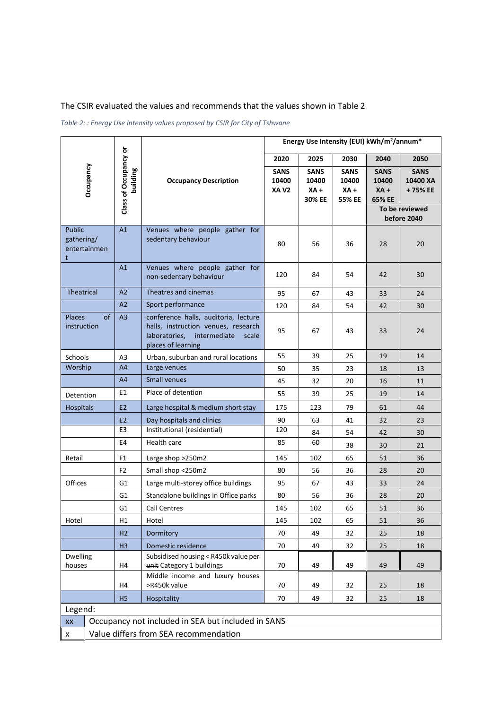# The CSIR evaluated the values and recommends that the values shown i[n Table 2](#page-1-0)

<span id="page-1-0"></span>*Table 2: : Energy Use Intensity values proposed by CSIR for City of Tshwane*

|                                  |                                       |                                   |                                                                                                                                          | Energy Use Intensity (EUI) kWh/m <sup>2</sup> /annum* |                                          |                                          |                                          |                                     |  |
|----------------------------------|---------------------------------------|-----------------------------------|------------------------------------------------------------------------------------------------------------------------------------------|-------------------------------------------------------|------------------------------------------|------------------------------------------|------------------------------------------|-------------------------------------|--|
|                                  |                                       |                                   |                                                                                                                                          | 2020                                                  | 2025                                     | 2030                                     | 2040                                     | 2050                                |  |
|                                  | Occupancy                             | Class of Occupancy or<br>building | <b>Occupancy Description</b>                                                                                                             | <b>SANS</b><br>10400<br>XA V <sub>2</sub>             | <b>SANS</b><br>10400<br>$XA +$<br>30% EE | <b>SANS</b><br>10400<br>$XA +$<br>55% EE | <b>SANS</b><br>10400<br>$XA +$<br>65% EE | <b>SANS</b><br>10400 XA<br>+ 75% EE |  |
|                                  |                                       |                                   |                                                                                                                                          |                                                       |                                          |                                          |                                          | To be reviewed<br>before 2040       |  |
| <b>Public</b><br>gathering/<br>t | entertainmen                          | A1                                | Venues where people gather for<br>sedentary behaviour                                                                                    | 80                                                    | 56                                       | 36                                       | 28                                       | 20                                  |  |
|                                  |                                       | A1                                | Venues where people gather for<br>non-sedentary behaviour                                                                                | 120                                                   | 84                                       | 54                                       | 42                                       | 30                                  |  |
| Theatrical                       |                                       | A2                                | Theatres and cinemas                                                                                                                     | 95                                                    | 67                                       | 43                                       | 33                                       | 24                                  |  |
|                                  |                                       | A2                                | Sport performance                                                                                                                        | 120                                                   | 84                                       | 54                                       | 42                                       | 30                                  |  |
| <b>Places</b><br>instruction     | of                                    | A <sub>3</sub>                    | conference halls, auditoria, lecture<br>halls, instruction venues, research<br>intermediate scale<br>laboratories,<br>places of learning | 95                                                    | 67                                       | 43                                       | 33                                       | 24                                  |  |
| Schools                          |                                       | A3                                | Urban, suburban and rural locations                                                                                                      | 55                                                    | 39                                       | 25                                       | 19                                       | 14                                  |  |
| Worship                          |                                       | A <sub>4</sub>                    | Large venues                                                                                                                             | 50                                                    | 35                                       | 23                                       | 18                                       | 13                                  |  |
|                                  |                                       | A4                                | Small venues                                                                                                                             | 45                                                    | 32                                       | 20                                       | 16                                       | 11                                  |  |
| Detention                        |                                       | E1                                | Place of detention                                                                                                                       | 55                                                    | 39                                       | 25                                       | 19                                       | 14                                  |  |
| Hospitals                        |                                       | E <sub>2</sub>                    | Large hospital & medium short stay                                                                                                       | 175                                                   | 123                                      | 79                                       | 61                                       | 44                                  |  |
|                                  |                                       | E <sub>2</sub>                    | Day hospitals and clinics                                                                                                                | 90                                                    | 63                                       | 41                                       | 32                                       | 23                                  |  |
|                                  |                                       | E3                                | Institutional (residential)                                                                                                              | 120                                                   | 84                                       | 54                                       | 42                                       | 30                                  |  |
|                                  |                                       | E4                                | Health care                                                                                                                              | 85                                                    | 60                                       | 38                                       | 30                                       | 21                                  |  |
| Retail                           |                                       | F1                                | Large shop >250m2                                                                                                                        | 145                                                   | 102                                      | 65                                       | 51                                       | 36                                  |  |
|                                  |                                       | F2                                | Small shop <250m2                                                                                                                        | 80                                                    | 56                                       | 36                                       | 28                                       | 20                                  |  |
| Offices                          |                                       | G1                                | Large multi-storey office buildings                                                                                                      | 95                                                    | 67                                       | 43                                       | 33                                       | 24                                  |  |
|                                  |                                       | G1                                | Standalone buildings in Office parks                                                                                                     | 80                                                    | 56                                       | 36                                       | 28                                       | 20                                  |  |
|                                  |                                       | G1                                | <b>Call Centres</b>                                                                                                                      | 145                                                   | 102                                      | 65                                       | 51                                       | 36                                  |  |
| Hotel                            |                                       | H1                                | Hotel                                                                                                                                    | 145                                                   | 102                                      | 65                                       | 51                                       | 36                                  |  |
|                                  |                                       | H <sub>2</sub>                    | Dormitory                                                                                                                                | $70\,$                                                | 49                                       | 32                                       | 25                                       | 18                                  |  |
|                                  |                                       | H <sub>3</sub>                    | Domestic residence                                                                                                                       | 70                                                    | 49                                       | 32                                       | 25                                       | 18                                  |  |
| Dwelling<br>houses               |                                       | H4                                | Subsidised housing < R450k value per<br>unit Category 1 buildings                                                                        | 70                                                    | 49                                       | 49                                       | 49                                       | 49                                  |  |
|                                  |                                       | H4                                | Middle income and luxury houses<br>>R450k value                                                                                          | 70                                                    | 49                                       | 32                                       | 25                                       | 18                                  |  |
|                                  |                                       | H <sub>5</sub>                    | Hospitality                                                                                                                              | 70                                                    | 49                                       | 32                                       | 25                                       | 18                                  |  |
| Legend:                          |                                       |                                   |                                                                                                                                          |                                                       |                                          |                                          |                                          |                                     |  |
| XX                               |                                       |                                   | Occupancy not included in SEA but included in SANS                                                                                       |                                                       |                                          |                                          |                                          |                                     |  |
| $\pmb{\mathsf{x}}$               | Value differs from SEA recommendation |                                   |                                                                                                                                          |                                                       |                                          |                                          |                                          |                                     |  |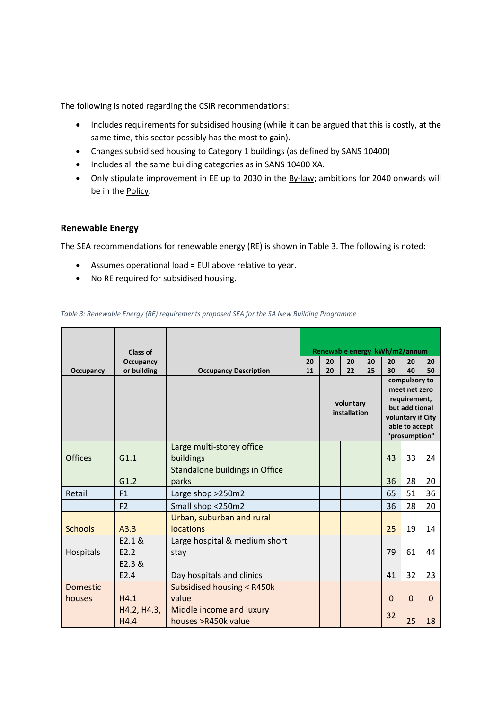The following is noted regarding the CSIR recommendations:

- Includes requirements for subsidised housing (while it can be argued that this is costly, at the same time, this sector possibly has the most to gain).
- Changes subsidised housing to Category 1 buildings (as defined by SANS 10400)
- Includes all the same building categories as in SANS 10400 XA.
- Only stipulate improvement in EE up to 2030 in the By-law; ambitions for 2040 onwards will be in the Policy.

### **Renewable Energy**

The SEA recommendations for renewable energy (RE) is shown in [Table 3.](#page-2-0) The following is noted:

- Assumes operational load = EUI above relative to year.
- No RE required for subsidised housing.

#### <span id="page-2-0"></span>*Table 3: Renewable Energy (RE) requirements proposed SEA for the SA New Building Programme*

|                 | Class of            |                                                 |    | Renewable energy kWh/m2/annum |    |    |                                                                                                                          |             |             |
|-----------------|---------------------|-------------------------------------------------|----|-------------------------------|----|----|--------------------------------------------------------------------------------------------------------------------------|-------------|-------------|
|                 | Occupancy           |                                                 | 20 | 20                            | 20 | 20 | 20                                                                                                                       | 20          | 20          |
| Occupancy       | or building         | <b>Occupancy Description</b>                    | 11 | 20                            | 22 | 25 | 30                                                                                                                       | 40          | 50          |
|                 |                     |                                                 |    | voluntary<br>installation     |    |    | compulsory to<br>meet net zero<br>requirement,<br>but additional<br>voluntary if City<br>able to accept<br>"prosumption" |             |             |
| <b>Offices</b>  | G1.1                | Large multi-storey office<br>buildings          |    |                               |    |    | 43                                                                                                                       | 33          | 24          |
|                 |                     | Standalone buildings in Office                  |    |                               |    |    |                                                                                                                          |             |             |
|                 | G1.2                | parks                                           |    |                               |    |    | 36                                                                                                                       | 28          | 20          |
| Retail          | F1                  | Large shop > 250m2                              |    |                               |    |    | 65                                                                                                                       | 51          | 36          |
|                 | F <sub>2</sub>      | Small shop <250m2                               |    |                               |    |    | 36                                                                                                                       | 28          | 20          |
| <b>Schools</b>  | A3.3                | Urban, suburban and rural<br>locations          |    |                               |    |    | 25                                                                                                                       | 19          | 14          |
| Hospitals       | E2.1 &<br>E2.2      | Large hospital & medium short<br>stay           |    |                               |    |    | 79                                                                                                                       | 61          | 44          |
|                 | E2.3 &<br>E2.4      | Day hospitals and clinics                       |    |                               |    |    | 41                                                                                                                       | 32          | 23          |
| <b>Domestic</b> |                     | Subsidised housing < R450k                      |    |                               |    |    |                                                                                                                          |             |             |
| houses          | H4.1                | value                                           |    |                               |    |    | $\Omega$                                                                                                                 | $\mathbf 0$ | $\mathbf 0$ |
|                 | H4.2, H4.3,<br>H4.4 | Middle income and luxury<br>houses >R450k value |    |                               |    |    | 32                                                                                                                       | 25          | 18          |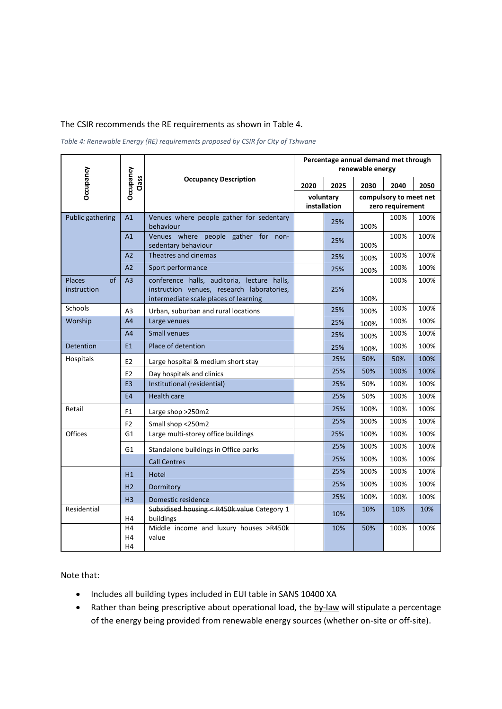#### The CSIR recommends the RE requirements as shown i[n Table 4.](#page-3-0)

<span id="page-3-0"></span>*Table 4: Renewable Energy (RE) requirements proposed by CSIR for City of Tshwane*

|                                    | Occupancy<br>Class         |                                                                                                                                    | Percentage annual demand met through<br>renewable energy |      |                                            |      |      |  |
|------------------------------------|----------------------------|------------------------------------------------------------------------------------------------------------------------------------|----------------------------------------------------------|------|--------------------------------------------|------|------|--|
| Occupancy                          |                            | <b>Occupancy Description</b>                                                                                                       | 2020                                                     | 2025 | 2030                                       | 2040 | 2050 |  |
|                                    |                            |                                                                                                                                    | voluntary<br>installation                                |      | compulsory to meet net<br>zero requirement |      |      |  |
| <b>Public gathering</b>            | A1                         | Venues where people gather for sedentary<br>behaviour                                                                              |                                                          | 25%  | 100%                                       | 100% | 100% |  |
|                                    | A1                         | Venues where people gather for non-<br>sedentary behaviour                                                                         |                                                          | 25%  | 100%                                       | 100% | 100% |  |
|                                    | A <sub>2</sub>             | Theatres and cinemas                                                                                                               |                                                          | 25%  | 100%                                       | 100% | 100% |  |
|                                    | A <sub>2</sub>             | Sport performance                                                                                                                  |                                                          | 25%  | 100%                                       | 100% | 100% |  |
| of<br><b>Places</b><br>instruction | A <sub>3</sub>             | conference halls, auditoria, lecture halls,<br>instruction venues, research laboratories,<br>intermediate scale places of learning |                                                          | 25%  | 100%                                       | 100% | 100% |  |
| Schools                            | A <sub>3</sub>             | Urban, suburban and rural locations                                                                                                |                                                          | 25%  | 100%                                       | 100% | 100% |  |
| Worship                            | A <sub>4</sub>             | Large venues                                                                                                                       |                                                          | 25%  | 100%                                       | 100% | 100% |  |
|                                    | A4                         | <b>Small venues</b>                                                                                                                |                                                          | 25%  | 100%                                       | 100% | 100% |  |
| Detention                          | E1                         | Place of detention                                                                                                                 |                                                          | 25%  | 100%                                       | 100% | 100% |  |
| Hospitals                          | E <sub>2</sub>             | Large hospital & medium short stay                                                                                                 |                                                          | 25%  | 50%                                        | 50%  | 100% |  |
|                                    | E <sub>2</sub>             | Day hospitals and clinics                                                                                                          |                                                          | 25%  | 50%                                        | 100% | 100% |  |
|                                    | E <sub>3</sub>             | Institutional (residential)                                                                                                        |                                                          | 25%  | 50%                                        | 100% | 100% |  |
|                                    | <b>E4</b>                  | <b>Health care</b>                                                                                                                 |                                                          | 25%  | 50%                                        | 100% | 100% |  |
| Retail                             | F1                         | Large shop >250m2                                                                                                                  |                                                          | 25%  | 100%                                       | 100% | 100% |  |
|                                    | F <sub>2</sub>             | Small shop <250m2                                                                                                                  |                                                          | 25%  | 100%                                       | 100% | 100% |  |
| Offices                            | G <sub>1</sub>             | Large multi-storey office buildings                                                                                                |                                                          | 25%  | 100%                                       | 100% | 100% |  |
|                                    | G <sub>1</sub>             | Standalone buildings in Office parks                                                                                               |                                                          | 25%  | 100%                                       | 100% | 100% |  |
|                                    |                            | <b>Call Centres</b>                                                                                                                |                                                          | 25%  | 100%                                       | 100% | 100% |  |
|                                    | H1                         | Hotel                                                                                                                              |                                                          | 25%  | 100%                                       | 100% | 100% |  |
|                                    | H <sub>2</sub>             | Dormitory                                                                                                                          |                                                          | 25%  | 100%                                       | 100% | 100% |  |
|                                    | H <sub>3</sub>             | Domestic residence                                                                                                                 |                                                          | 25%  | 100%                                       | 100% | 100% |  |
| Residential                        | H4                         | Subsidised housing < R450k value Category 1<br>buildings                                                                           |                                                          | 10%  | 10%                                        | 10%  | 10%  |  |
|                                    | H4<br>H4<br>H <sub>4</sub> | Middle income and luxury houses >R450k<br>value                                                                                    |                                                          | 10%  | 50%                                        | 100% | 100% |  |

Note that:

- Includes all building types included in EUI table in SANS 10400 XA
- Rather than being prescriptive about operational load, the by-law will stipulate a percentage of the energy being provided from renewable energy sources (whether on-site or off-site).